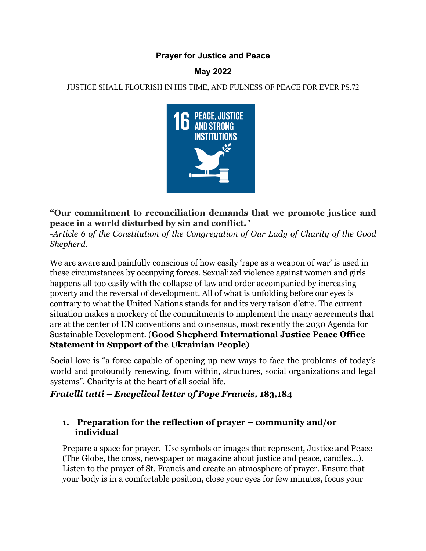### **Prayer for Justice and Peace**

## **May 2022**

JUSTICE SHALL FLOURISH IN HIS TIME, AND FULNESS OF PEACE FOR EVER PS.72



# **"Our commitment to reconciliation demands that we promote justice and peace in a world disturbed by sin and conflict.***"*

*-Article 6 of the Constitution of the Congregation of Our Lady of Charity of the Good Shepherd.* 

We are aware and painfully conscious of how easily 'rape as a weapon of war' is used in these circumstances by occupying forces. Sexualized violence against women and girls happens all too easily with the collapse of law and order accompanied by increasing poverty and the reversal of development. All of what is unfolding before our eyes is contrary to what the United Nations stands for and its very raison d'etre. The current situation makes a mockery of the commitments to implement the many agreements that are at the center of UN conventions and consensus, most recently the 2030 Agenda for Sustainable Development. (**Good Shepherd International Justice Peace Office Statement in Support of the Ukrainian People)**

Social love is "a force capable of opening up new ways to face the problems of today's world and profoundly renewing, from within, structures, social organizations and legal systems". Charity is at the heart of all social life.

### *Fratelli tutti – Encyclical letter of Pope Francis,* **183,184**

### **1. Preparation for the reflection of prayer – community and/or individual**

Prepare a space for prayer. Use symbols or images that represent, Justice and Peace (The Globe, the cross, newspaper or magazine about justice and peace, candles...). Listen to the prayer of St. Francis and create an atmosphere of prayer. Ensure that your body is in a comfortable position, close your eyes for few minutes, focus your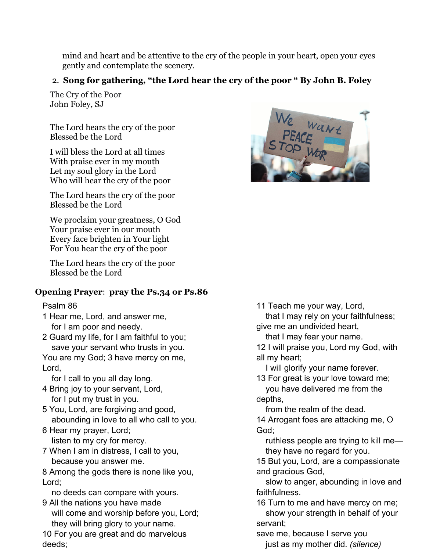mind and heart and be attentive to the cry of the people in your heart, open your eyes gently and contemplate the scenery.

# 2. **Song for gathering, "the Lord hear the cry of the poor " By John B. Foley**

The Cry of the Poor John Foley, SJ

The Lord hears the cry of the poor Blessed be the Lord

I will bless the Lord at all times With praise ever in my mouth Let my soul glory in the Lord Who will hear the cry of the poor

The Lord hears the cry of the poor Blessed be the Lord

We proclaim your greatness, O God Your praise ever in our mouth Every face brighten in Your light For You hear the cry of the poor

The Lord hears the cry of the poor Blessed be the Lord

## **Opening Prayer**: **pray the Ps.34 or Ps.86**

Psalm 86

- 1 Hear me, Lord, and answer me, for I am poor and needy.
- 2 Guard my life, for I am faithful to you; save your servant who trusts in you.

You are my God; 3 have mercy on me, Lord,

for I call to you all day long.

- 4 Bring joy to your servant, Lord, for I put my trust in you.
- 5 You, Lord, are forgiving and good, abounding in love to all who call to you.
- 6 Hear my prayer, Lord; listen to my cry for mercy.
- 7 When I am in distress, I call to you, because you answer me.

8 Among the gods there is none like you, Lord;

no deeds can compare with yours.

9 All the nations you have made will come and worship before you, Lord; they will bring glory to your name.

10 For you are great and do marvelous deeds;



11 Teach me your way, Lord,

 that I may rely on your faithfulness; give me an undivided heart,

that I may fear your name.

12 I will praise you, Lord my God, with all my heart;

I will glorify your name forever.

13 For great is your love toward me; you have delivered me from the

depths, from the realm of the dead.

14 Arrogant foes are attacking me, O God;

 ruthless people are trying to kill me they have no regard for you.

15 But you, Lord, are a compassionate and gracious God,

 slow to anger, abounding in love and faithfulness.

16 Turn to me and have mercy on me; show your strength in behalf of your servant;

save me, because I serve you just as my mother did. *(silence)*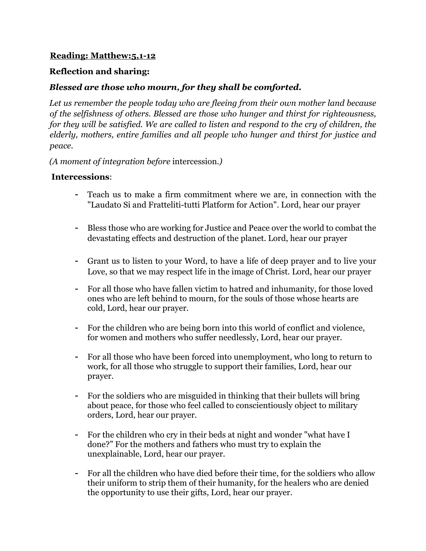### **Reading: Matthew:5,1-12**

#### **Reflection and sharing:**

### *Blessed are those who mourn, for they shall be comforted.*

Let us remember the people today who are fleeing from their own mother land because *of the selfishness of others. Blessed are those who hunger and thirst for righteousness, for they will be satisfied. We are called to listen and respond to the cry of children, the elderly, mothers, entire families and all people who hunger and thirst for justice and peace.* 

*(A moment of integration before* intercession*.)*

#### **Intercessions**:

- Teach us to make a firm commitment where we are, in connection with the "Laudato Si and Fratteliti-tutti Platform for Action". Lord, hear our prayer
- Bless those who are working for Justice and Peace over the world to combat the devastating effects and destruction of the planet. Lord, hear our prayer
- Grant us to listen to your Word, to have a life of deep prayer and to live your Love, so that we may respect life in the image of Christ. Lord, hear our prayer
- For all those who have fallen victim to hatred and inhumanity, for those loved ones who are left behind to mourn, for the souls of those whose hearts are cold, Lord, hear our prayer.
- For the children who are being born into this world of conflict and violence, for women and mothers who suffer needlessly, Lord, hear our prayer.
- For all those who have been forced into unemployment, who long to return to work, for all those who struggle to support their families, Lord, hear our prayer.
- For the soldiers who are misguided in thinking that their bullets will bring about peace, for those who feel called to conscientiously object to military orders, Lord, hear our prayer.
- For the children who cry in their beds at night and wonder "what have I done?" For the mothers and fathers who must try to explain the unexplainable, Lord, hear our prayer.
- For all the children who have died before their time, for the soldiers who allow their uniform to strip them of their humanity, for the healers who are denied the opportunity to use their gifts, Lord, hear our prayer.